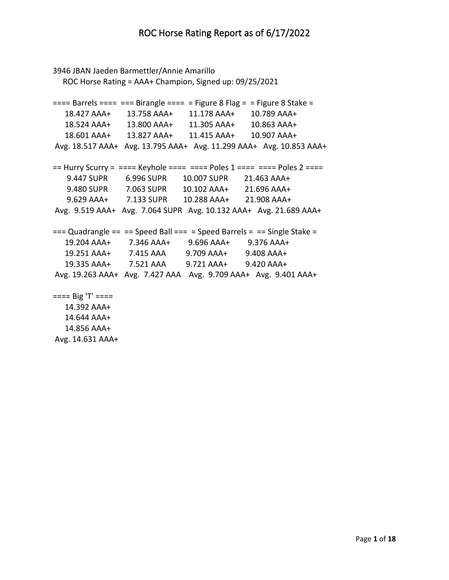```
3946 JBAN Jaeden Barmettler/Annie Amarillo
   ROC Horse Rating = AAA+ Champion, Signed up: 09/25/2021
=== Barrels === === Birangle === = Figure 8 Flag = = Figure 8 Stake = 18.427 AAA+ 13.758 AAA+ 11.178 AAA+ 10.789 AAA+
   18.524 AAA+ 13.800 AAA+ 11.305 AAA+ 10.863 AAA+
   18.601 AAA+ 13.827 AAA+ 11.415 AAA+ 10.907 AAA+
Avg. 18.517 AAA+ Avg. 13.795 AAA+ Avg. 11.299 AAA+ Avg. 10.853 AAA+
== Hurry Scurry = ==== Keyhole ===== = Poles 1 ==== = Poles 2 ===
    9.447 SUPR 6.996 SUPR 10.007 SUPR 21.463 AAA+
    9.480 SUPR 7.063 SUPR 10.102 AAA+ 21.696 AAA+
    9.629 AAA+ 7.133 SUPR 10.288 AAA+ 21.908 AAA+
Avg. 9.519 AAA+ Avg. 7.064 SUPR Avg. 10.132 AAA+ Avg. 21.689 AAA+
== Quadrangle == == Speed Ball == = Speed Barrels = == Single Stake =
   19.204 AAA+ 7.346 AAA+ 9.696 AAA+ 9.376 AAA+
   19.251 AAA+ 7.415 AAA 9.709 AAA+ 9.408 AAA+
   19.335 AAA+ 7.521 AAA 9.721 AAA+ 9.420 AAA+
Avg. 19.263 AAA+ Avg. 7.427 AAA Avg. 9.709 AAA+ Avg. 9.401 AAA+
==== Big 'T' ==== 14.392 AAA+
   14.644 AAA+
   14.856 AAA+
```
Avg. 14.631 AAA+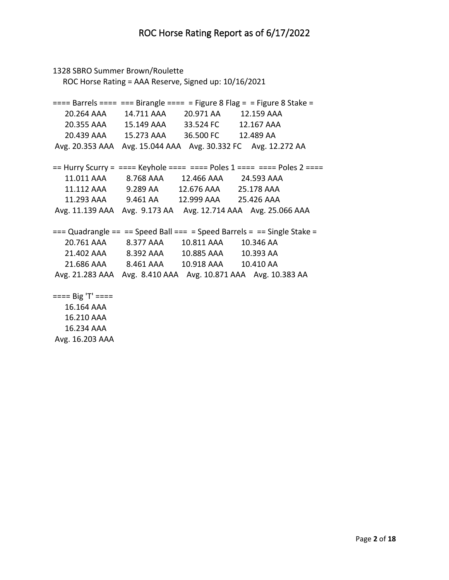```
1328 SBRO Summer Brown/Roulette
   ROC Horse Rating = AAA Reserve, Signed up: 10/16/2021
=== Barrels === === Birangle === = Figure 8 Flag = = Figure 8 Stake = 20.264 AAA 14.711 AAA 20.971 AA 12.159 AAA 
   20.355 AAA 15.149 AAA 33.524 FC 12.167 AAA 
   20.439 AAA 15.273 AAA 36.500 FC 12.489 AA 
Avg. 20.353 AAA Avg. 15.044 AAA Avg. 30.332 FC Avg. 12.272 AA 
== Hurry Scurry = ==== Keyhole === === Poles 1 === == Poles 2 ===
   11.011 AAA 8.768 AAA 12.466 AAA 24.593 AAA 
   11.112 AAA 9.289 AA 12.676 AAA 25.178 AAA 
   11.293 AAA 9.461 AA 12.999 AAA 25.426 AAA 
Avg. 11.139 AAA Avg. 9.173 AA Avg. 12.714 AAA Avg. 25.066 AAA 
== Quadrangle == == Speed Ball === = Speed Barrels = == Single Stake =
   20.761 AAA 8.377 AAA 10.811 AAA 10.346 AA 
   21.402 AAA 8.392 AAA 10.885 AAA 10.393 AA 
   21.686 AAA 8.461 AAA 10.918 AAA 10.410 AA 
Avg. 21.283 AAA Avg. 8.410 AAA Avg. 10.871 AAA Avg. 10.383 AA 
==== Big 'T' ==== 16.164 AAA 
   16.210 AAA
```
 16.234 AAA Avg. 16.203 AAA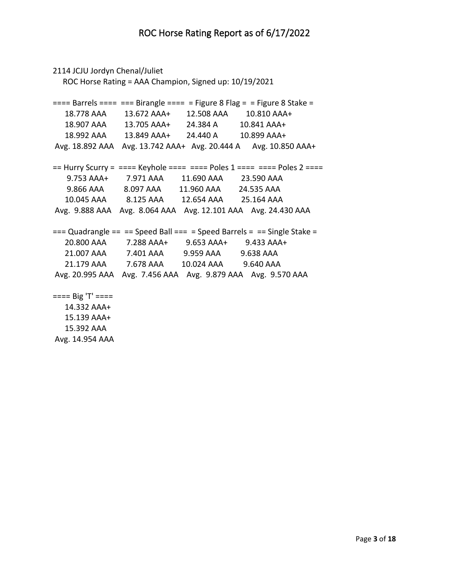```
2114 JCJU Jordyn Chenal/Juliet
   ROC Horse Rating = AAA Champion, Signed up: 10/19/2021
=== Barrels === === Birangle === = Figure 8 Flag = = Figure 8 Stake = 18.778 AAA 13.672 AAA+ 12.508 AAA 10.810 AAA+
   18.907 AAA 13.705 AAA+ 24.384 A 10.841 AAA+
   18.992 AAA 13.849 AAA+ 24.440 A 10.899 AAA+
Avg. 18.892 AAA Avg. 13.742 AAA+ Avg. 20.444 A Avg. 10.850 AAA+
== Hurry Scurry = ==== Keyhole ===== = Poles 1 ==== = Poles 2 ===
    9.753 AAA+ 7.971 AAA 11.690 AAA 23.590 AAA 
    9.866 AAA 8.097 AAA 11.960 AAA 24.535 AAA 
   10.045 AAA 8.125 AAA 12.654 AAA 25.164 AAA 
Avg. 9.888 AAA Avg. 8.064 AAA Avg. 12.101 AAA Avg. 24.430 AAA 
== Quadrangle == == Speed Ball === = Speed Barrels = == Single Stake =
   20.800 AAA 7.288 AAA+ 9.653 AAA+ 9.433 AAA+
   21.007 AAA 7.401 AAA 9.959 AAA 9.638 AAA 
   21.179 AAA 7.678 AAA 10.024 AAA 9.640 AAA 
Avg. 20.995 AAA Avg. 7.456 AAA Avg. 9.879 AAA Avg. 9.570 AAA 
==== Big 'T' ==== 14.332 AAA+
   15.139 AAA+
```
 15.392 AAA Avg. 14.954 AAA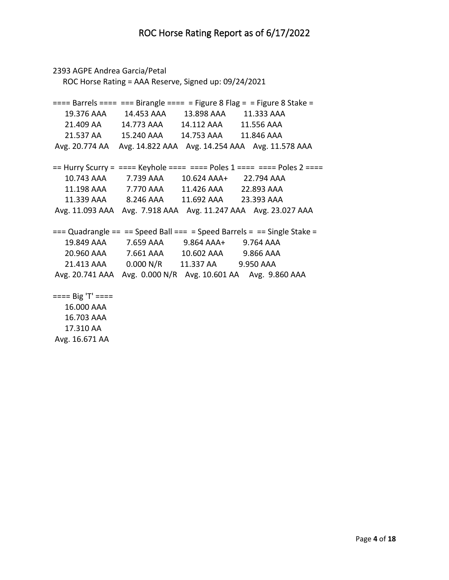```
2393 AGPE Andrea Garcia/Petal
   ROC Horse Rating = AAA Reserve, Signed up: 09/24/2021
=== Barrels === === Birangle === = Figure 8 Flag = = Figure 8 Stake = 19.376 AAA 14.453 AAA 13.898 AAA 11.333 AAA 
   21.409 AA 14.773 AAA 14.112 AAA 11.556 AAA 
   21.537 AA 15.240 AAA 14.753 AAA 11.846 AAA 
Avg. 20.774 AA Avg. 14.822 AAA Avg. 14.254 AAA Avg. 11.578 AAA 
== Hurry Scurry = ==== Keyhole ===== = Poles 1 ==== = Poles 2 ===
   10.743 AAA 7.739 AAA 10.624 AAA+ 22.794 AAA 
   11.198 AAA 7.770 AAA 11.426 AAA 22.893 AAA 
   11.339 AAA 8.246 AAA 11.692 AAA 23.393 AAA 
Avg. 11.093 AAA Avg. 7.918 AAA Avg. 11.247 AAA Avg. 23.027 AAA 
== Quadrangle == == Speed Ball === = Speed Barrels = == Single Stake =
   19.849 AAA 7.659 AAA 9.864 AAA+ 9.764 AAA 
   20.960 AAA 7.661 AAA 10.602 AAA 9.866 AAA 
   21.413 AAA 0.000 N/R 11.337 AA 9.950 AAA 
Avg. 20.741 AAA Avg. 0.000 N/R Avg. 10.601 AA Avg. 9.860 AAA 
==== Big 'T' ==== 16.000 AAA
```
 16.703 AAA 17.310 AA Avg. 16.671 AA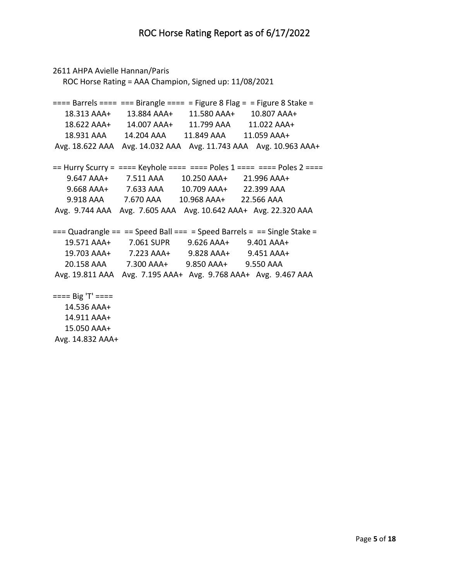```
2611 AHPA Avielle Hannan/Paris
   ROC Horse Rating = AAA Champion, Signed up: 11/08/2021
=== Barrels === === Birangle === = Figure 8 Flag = = Figure 8 Stake = 18.313 AAA+ 13.884 AAA+ 11.580 AAA+ 10.807 AAA+
   18.622 AAA+ 14.007 AAA+ 11.799 AAA 11.022 AAA+
   18.931 AAA 14.204 AAA 11.849 AAA 11.059 AAA+
Avg. 18.622 AAA Avg. 14.032 AAA Avg. 11.743 AAA Avg. 10.963 AAA+
== Hurry Scurry = ==== Keyhole ===== = Poles 1 ==== = Poles 2 ===
    9.647 AAA+ 7.511 AAA 10.250 AAA+ 21.996 AAA+
    9.668 AAA+ 7.633 AAA 10.709 AAA+ 22.399 AAA 
    9.918 AAA 7.670 AAA 10.968 AAA+ 22.566 AAA 
Avg. 9.744 AAA Avg. 7.605 AAA Avg. 10.642 AAA+ Avg. 22.320 AAA 
== Quadrangle == == Speed Ball === = Speed Barrels = == Single Stake =
   19.571 AAA+ 7.061 SUPR 9.626 AAA+ 9.401 AAA+
   19.703 AAA+ 7.223 AAA+ 9.828 AAA+ 9.451 AAA+
   20.158 AAA 7.300 AAA+ 9.850 AAA+ 9.550 AAA 
Avg. 19.811 AAA Avg. 7.195 AAA+ Avg. 9.768 AAA+ Avg. 9.467 AAA 
==== Big 'T' ==== 14.536 AAA+
   14.911 AAA+
```
 15.050 AAA+ Avg. 14.832 AAA+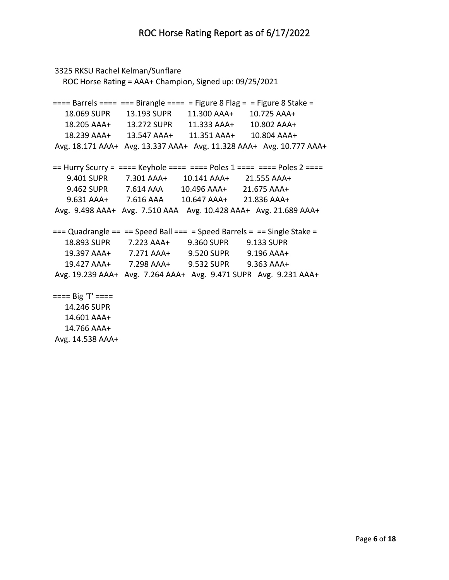```
3325 RKSU Rachel Kelman/Sunflare
   ROC Horse Rating = AAA+ Champion, Signed up: 09/25/2021
=== Barrels === === Birangle === = Figure 8 Flag = = Figure 8 Stake = 18.069 SUPR 13.193 SUPR 11.300 AAA+ 10.725 AAA+
   18.205 AAA+ 13.272 SUPR 11.333 AAA+ 10.802 AAA+
   18.239 AAA+ 13.547 AAA+ 11.351 AAA+ 10.804 AAA+
Avg. 18.171 AAA+ Avg. 13.337 AAA+ Avg. 11.328 AAA+ Avg. 10.777 AAA+
== Hurry Scurry = ==== Keyhole ===== = Poles 1 ==== = Poles 2 ===
    9.401 SUPR 7.301 AAA+ 10.141 AAA+ 21.555 AAA+
    9.462 SUPR 7.614 AAA 10.496 AAA+ 21.675 AAA+
    9.631 AAA+ 7.616 AAA 10.647 AAA+ 21.836 AAA+
Avg. 9.498 AAA+ Avg. 7.510 AAA Avg. 10.428 AAA+ Avg. 21.689 AAA+
== Quadrangle == == Speed Ball == = Speed Barrels = == Single Stake =
   18.893 SUPR 7.223 AAA+ 9.360 SUPR 9.133 SUPR
   19.397 AAA+ 7.271 AAA+ 9.520 SUPR 9.196 AAA+
   19.427 AAA+ 7.298 AAA+ 9.532 SUPR 9.363 AAA+
Avg. 19.239 AAA+ Avg. 7.264 AAA+ Avg. 9.471 SUPR Avg. 9.231 AAA+
==== Big 'T' ==== 14.246 SUPR
   14.601 AAA+
   14.766 AAA+
```
Avg. 14.538 AAA+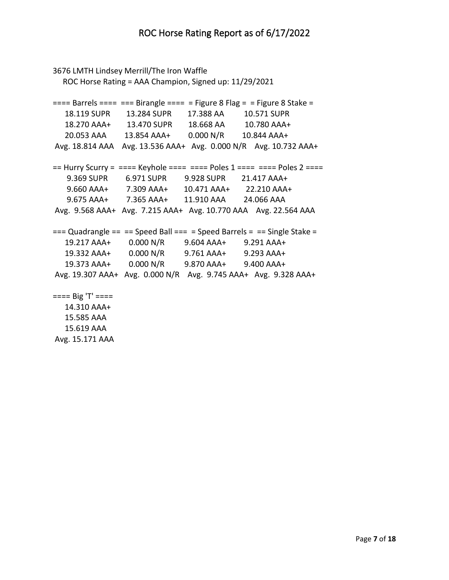```
3676 LMTH Lindsey Merrill/The Iron Waffle
   ROC Horse Rating = AAA Champion, Signed up: 11/29/2021
=== Barrels === === Birangle === = Figure 8 Flag = = Figure 8 Stake = 18.119 SUPR 13.284 SUPR 17.388 AA 10.571 SUPR
   18.270 AAA+ 13.470 SUPR 18.668 AA 10.780 AAA+
   20.053 AAA 13.854 AAA+ 0.000 N/R 10.844 AAA+
Avg. 18.814 AAA Avg. 13.536 AAA+ Avg. 0.000 N/R Avg. 10.732 AAA+
== Hurry Scurry = === Keyhole === === Poles 1 === = = Poles 2 === 9.369 SUPR 6.971 SUPR 9.928 SUPR 21.417 AAA+
    9.660 AAA+ 7.309 AAA+ 10.471 AAA+ 22.210 AAA+
    9.675 AAA+ 7.365 AAA+ 11.910 AAA 24.066 AAA 
Avg. 9.568 AAA+ Avg. 7.215 AAA+ Avg. 10.770 AAA Avg. 22.564 AAA 
== Quadrangle == == Speed Ball == = Speed Barrels = == Single Stake =
   19.217 AAA+ 0.000 N/R 9.604 AAA+ 9.291 AAA+
   19.332 AAA+ 0.000 N/R 9.761 AAA+ 9.293 AAA+
   19.373 AAA+ 0.000 N/R 9.870 AAA+ 9.400 AAA+
Avg. 19.307 AAA+ Avg. 0.000 N/R Avg. 9.745 AAA+ Avg. 9.328 AAA+
==== Big 'T' ==== 14.310 AAA+
   15.585 AAA
```
 15.619 AAA Avg. 15.171 AAA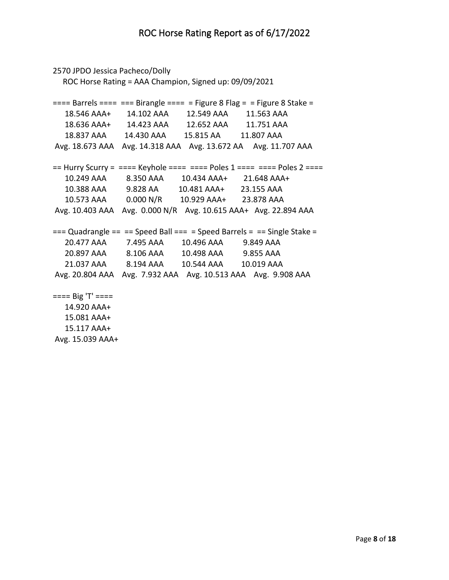```
2570 JPDO Jessica Pacheco/Dolly
   ROC Horse Rating = AAA Champion, Signed up: 09/09/2021
=== Barrels === === Birangle === = Figure 8 Flag = = Figure 8 Stake = 18.546 AAA+ 14.102 AAA 12.549 AAA 11.563 AAA 
   18.636 AAA+ 14.423 AAA 12.652 AAA 11.751 AAA 
   18.837 AAA 14.430 AAA 15.815 AA 11.807 AAA 
Avg. 18.673 AAA Avg. 14.318 AAA Avg. 13.672 AA Avg. 11.707 AAA 
== Hurry Scurry = ==== Keyhole ===== = Poles 1 ==== = Poles 2 ===
   10.249 AAA 8.350 AAA 10.434 AAA+ 21.648 AAA+
   10.388 AAA 9.828 AA 10.481 AAA+ 23.155 AAA 
   10.573 AAA 0.000 N/R 10.929 AAA+ 23.878 AAA 
Avg. 10.403 AAA Avg. 0.000 N/R Avg. 10.615 AAA+ Avg. 22.894 AAA 
== Quadrangle == == Speed Ball == = Speed Barrels = == Single Stake =
   20.477 AAA 7.495 AAA 10.496 AAA 9.849 AAA 
   20.897 AAA 8.106 AAA 10.498 AAA 9.855 AAA 
   21.037 AAA 8.194 AAA 10.544 AAA 10.019 AAA 
Avg. 20.804 AAA Avg. 7.932 AAA Avg. 10.513 AAA Avg. 9.908 AAA 
==== Big 'T' ==== 14.920 AAA+
   15.081 AAA+
```
 15.117 AAA+ Avg. 15.039 AAA+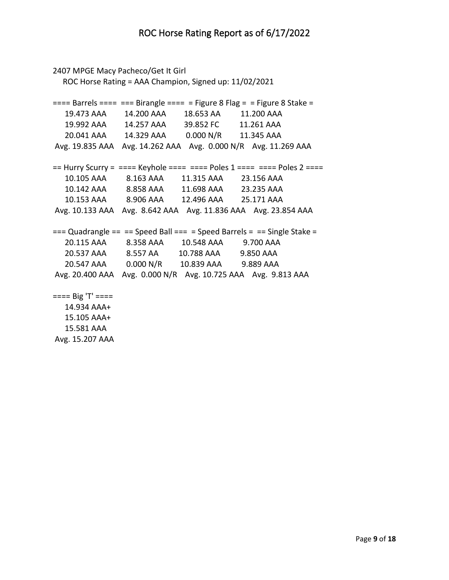```
2407 MPGE Macy Pacheco/Get It Girl
   ROC Horse Rating = AAA Champion, Signed up: 11/02/2021
=== Barrels === === Birangle === = Figure 8 Flag = = Figure 8 Stake = 19.473 AAA 14.200 AAA 18.653 AA 11.200 AAA 
   19.992 AAA        14.257 AAA        39.852 FC          11.261 AAA<br>20.041 AAA       14.329 AAA       0.000 N/R       11.345 AAA
    20.041 AAA 14.329 AAA 0.000 N/R 11.345 AAA 
Avg. 19.835 AAA Avg. 14.262 AAA Avg. 0.000 N/R Avg. 11.269 AAA 
== Hurry Scurry = ==== Keyhole ===== = Poles 1 ==== = Poles 2 ===
    10.105 AAA 8.163 AAA 11.315 AAA 23.156 AAA 
    10.142 AAA 8.858 AAA 11.698 AAA 23.235 AAA 
    10.153 AAA 8.906 AAA 12.496 AAA 25.171 AAA 
Avg. 10.133 AAA Avg. 8.642 AAA Avg. 11.836 AAA Avg. 23.854 AAA 
== Quadrangle == == Speed Ball === = Speed Barrels = == Single Stake =
    20.115 AAA 8.358 AAA 10.548 AAA 9.700 AAA 
   20.537 AAA 8.557 AA 10.788 AAA 9.850 AAA 
    20.547 AAA 0.000 N/R 10.839 AAA 9.889 AAA 
Avg. 20.400 AAA Avg. 0.000 N/R Avg. 10.725 AAA Avg. 9.813 AAA 
==== Big 'T' ==== 14.934 AAA+
    15.105 AAA+
```
 15.581 AAA Avg. 15.207 AAA

Page **9** of **18**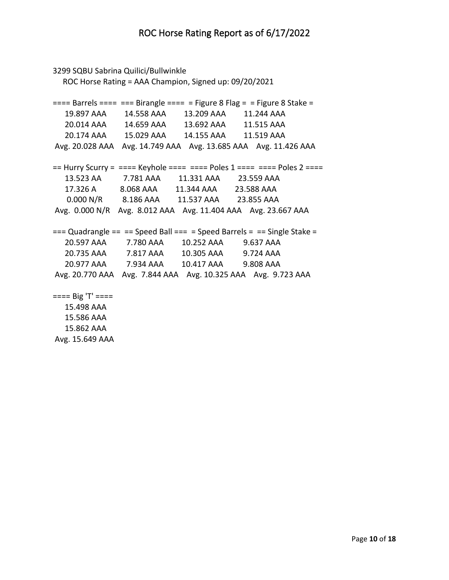```
3299 SQBU Sabrina Quilici/Bullwinkle
   ROC Horse Rating = AAA Champion, Signed up: 09/20/2021
=== Barrels === === Birangle === = Figure 8 Flag = = Figure 8 Stake = 19.897 AAA 14.558 AAA 13.209 AAA 11.244 AAA 
   20.014 AAA 14.659 AAA 13.692 AAA 11.515 AAA 
   20.174 AAA 15.029 AAA 14.155 AAA 11.519 AAA 
Avg. 20.028 AAA Avg. 14.749 AAA Avg. 13.685 AAA Avg. 11.426 AAA 
== Hurry Scurry = ==== Keyhole ===== = Poles 1 ==== = Poles 2 ===
   13.523 AA 7.781 AAA 11.331 AAA 23.559 AAA 
   17.326 A 8.068 AAA 11.344 AAA 23.588 AAA 
    0.000 N/R 8.186 AAA 11.537 AAA 23.855 AAA 
Avg. 0.000 N/R Avg. 8.012 AAA Avg. 11.404 AAA Avg. 23.667 AAA 
== Quadrangle == == Speed Ball === = Speed Barrels = == Single Stake =
   20.597 AAA 7.780 AAA 10.252 AAA 9.637 AAA 
   20.735 AAA 7.817 AAA 10.305 AAA 9.724 AAA 
   20.977 AAA 7.934 AAA 10.417 AAA 9.808 AAA 
Avg. 20.770 AAA Avg. 7.844 AAA Avg. 10.325 AAA Avg. 9.723 AAA 
==== Big 'T' ==== 15.498 AAA 
   15.586 AAA
```
 15.862 AAA Avg. 15.649 AAA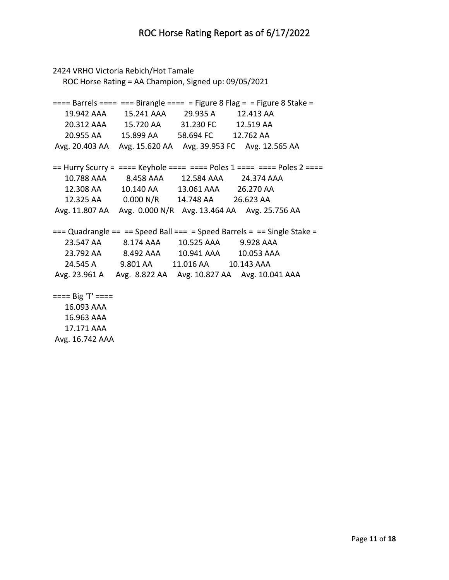```
2424 VRHO Victoria Rebich/Hot Tamale
   ROC Horse Rating = AA Champion, Signed up: 09/05/2021
=== Barrels === === Birangle === = Figure 8 Flag = = Figure 8 Stake = 19.942 AAA 15.241 AAA 29.935 A 12.413 AA 
   20.312 AAA 15.720 AA 31.230 FC 12.519 AA 
   20.955 AA 15.899 AA 58.694 FC 12.762 AA 
Avg. 20.403 AA Avg. 15.620 AA Avg. 39.953 FC Avg. 12.565 AA 
== Hurry Scurry = ==== Keyhole ===== = Poles 1 ==== = Poles 2 ===
   10.788 AAA 8.458 AAA 12.584 AAA 24.374 AAA 
   12.308 AA 10.140 AA 13.061 AAA 26.270 AA 
   12.325 AA 0.000 N/R 14.748 AA 26.623 AA 
Avg. 11.807 AA Avg. 0.000 N/R Avg. 13.464 AA Avg. 25.756 AA 
== Quadrangle == == Speed Ball === = Speed Barrels = == Single Stake =
   23.547 AA 8.174 AAA 10.525 AAA 9.928 AAA 
   23.792 AA 8.492 AAA 10.941 AAA 10.053 AAA 
   24.545 A 9.801 AA 11.016 AA 10.143 AAA 
Avg. 23.961 A Avg. 8.822 AA Avg. 10.827 AA Avg. 10.041 AAA 
==== Big 'T' ==== 16.093 AAA 
   16.963 AAA 
   17.171 AAA
```
Avg. 16.742 AAA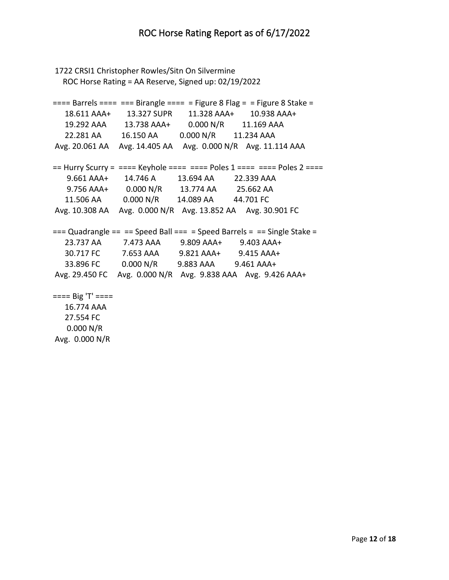```
1722 CRSI1 Christopher Rowles/Sitn On Silvermine
   ROC Horse Rating = AA Reserve, Signed up: 02/19/2022
=== Barrels === === Birangle === = Figure 8 Flag = = Figure 8 Stake = 18.611 AAA+ 13.327 SUPR 11.328 AAA+ 10.938 AAA+
   19.292 AAA 13.738 AAA+ 0.000 N/R 11.169 AAA 
   22.281 AA 16.150 AA 0.000 N/R 11.234 AAA 
Avg. 20.061 AA Avg. 14.405 AA Avg. 0.000 N/R Avg. 11.114 AAA 
== Hurry Scurry = ==== Keyhole ===== = Poles 1 ==== = Poles 2 ===
    9.661 AAA+ 14.746 A 13.694 AA 22.339 AAA 
    9.756 AAA+ 0.000 N/R 13.774 AA 25.662 AA 
   11.506 AA 0.000 N/R 14.089 AA 44.701 FC 
Avg. 10.308 AA Avg. 0.000 N/R Avg. 13.852 AA Avg. 30.901 FC 
== Quadrangle == == Speed Ball === = Speed Barrels = == Single Stake =
   23.737 AA 7.473 AAA 9.809 AAA+ 9.403 AAA+
   30.717 FC 7.653 AAA 9.821 AAA+ 9.415 AAA+
   33.896 FC 0.000 N/R 9.883 AAA 9.461 AAA+
Avg. 29.450 FC Avg. 0.000 N/R Avg. 9.838 AAA Avg. 9.426 AAA+
==== Big 'T' ==== 16.774 AAA 
   27.554 FC
```
 0.000 N/R Avg. 0.000 N/R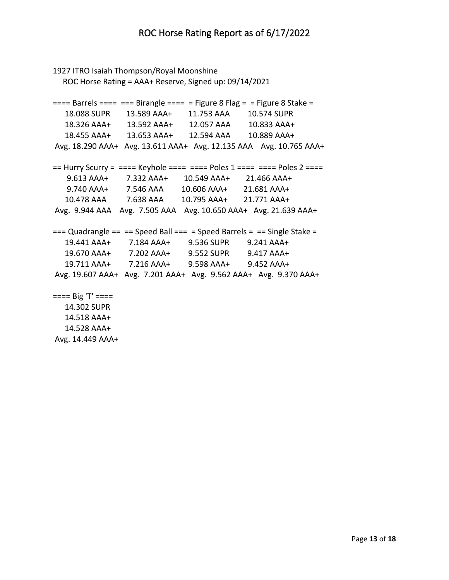```
1927 ITRO Isaiah Thompson/Royal Moonshine
   ROC Horse Rating = AAA+ Reserve, Signed up: 09/14/2021
=== Barrels === === Birangle === = Figure 8 Flag = = Figure 8 Stake = 18.088 SUPR 13.589 AAA+ 11.753 AAA 10.574 SUPR
   18.326 AAA+ 13.592 AAA+ 12.057 AAA 10.833 AAA+
   18.455 AAA+ 13.653 AAA+ 12.594 AAA 10.889 AAA+
Avg. 18.290 AAA+ Avg. 13.611 AAA+ Avg. 12.135 AAA Avg. 10.765 AAA+
== Hurry Scurry = ==== Keyhole ===== = Poles 1 ==== = Poles 2 ===
    9.613 AAA+ 7.332 AAA+ 10.549 AAA+ 21.466 AAA+
    9.740 AAA+ 7.546 AAA 10.606 AAA+ 21.681 AAA+
   10.478 AAA 7.638 AAA 10.795 AAA+ 21.771 AAA+
Avg. 9.944 AAA Avg. 7.505 AAA Avg. 10.650 AAA+ Avg. 21.639 AAA+
== Quadrangle == == Speed Ball === = Speed Barrels = == Single Stake =
   19.441 AAA+ 7.184 AAA+ 9.536 SUPR 9.241 AAA+
   19.670 AAA+ 7.202 AAA+ 9.552 SUPR 9.417 AAA+
   19.711 AAA+ 7.216 AAA+ 9.598 AAA+ 9.452 AAA+
Avg. 19.607 AAA+ Avg. 7.201 AAA+ Avg. 9.562 AAA+ Avg. 9.370 AAA+
==== Big 'T' ==== 14.302 SUPR
   14.518 AAA+
   14.528 AAA+
```
Avg. 14.449 AAA+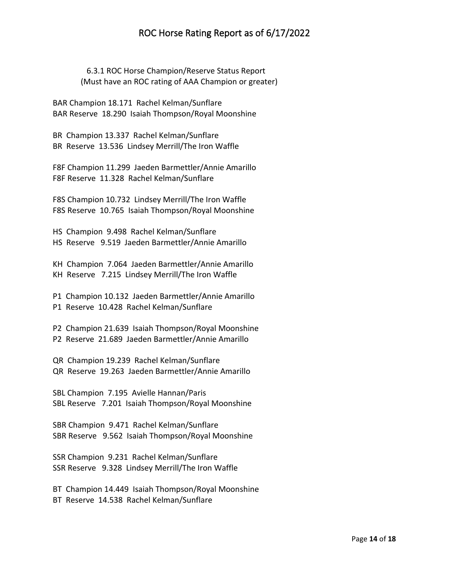## ROC Horse Rating Report as of 6/17/2022

 6.3.1 ROC Horse Champion/Reserve Status Report (Must have an ROC rating of AAA Champion or greater)

BAR Champion 18.171 Rachel Kelman/Sunflare BAR Reserve 18.290 Isaiah Thompson/Royal Moonshine

BR Champion 13.337 Rachel Kelman/Sunflare BR Reserve 13.536 Lindsey Merrill/The Iron Waffle

F8F Champion 11.299 Jaeden Barmettler/Annie Amarillo F8F Reserve 11.328 Rachel Kelman/Sunflare

F8S Champion 10.732 Lindsey Merrill/The Iron Waffle F8S Reserve 10.765 Isaiah Thompson/Royal Moonshine

HS Champion 9.498 Rachel Kelman/Sunflare HS Reserve 9.519 Jaeden Barmettler/Annie Amarillo

KH Champion 7.064 Jaeden Barmettler/Annie Amarillo KH Reserve 7.215 Lindsey Merrill/The Iron Waffle

P1 Champion 10.132 Jaeden Barmettler/Annie Amarillo P1 Reserve 10.428 Rachel Kelman/Sunflare

P2 Champion 21.639 Isaiah Thompson/Royal Moonshine P2 Reserve 21.689 Jaeden Barmettler/Annie Amarillo

QR Champion 19.239 Rachel Kelman/Sunflare QR Reserve 19.263 Jaeden Barmettler/Annie Amarillo

SBL Champion 7.195 Avielle Hannan/Paris SBL Reserve 7.201 Isaiah Thompson/Royal Moonshine

SBR Champion 9.471 Rachel Kelman/Sunflare SBR Reserve 9.562 Isaiah Thompson/Royal Moonshine

SSR Champion 9.231 Rachel Kelman/Sunflare SSR Reserve 9.328 Lindsey Merrill/The Iron Waffle

BT Champion 14.449 Isaiah Thompson/Royal Moonshine BT Reserve 14.538 Rachel Kelman/Sunflare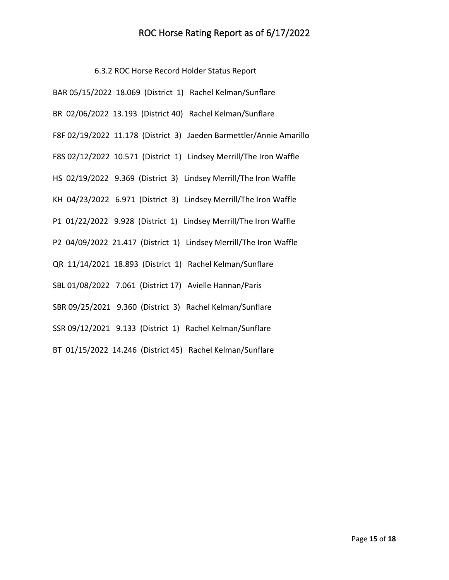## ROC Horse Rating Report as of 6/17/2022

6.3.2 ROC Horse Record Holder Status Report

| BAR 05/15/2022 18.069 (District 1) Rachel Kelman/Sunflare           |
|---------------------------------------------------------------------|
| BR 02/06/2022 13.193 (District 40) Rachel Kelman/Sunflare           |
| F8F 02/19/2022 11.178 (District 3) Jaeden Barmettler/Annie Amarillo |
| F8S 02/12/2022 10.571 (District 1) Lindsey Merrill/The Iron Waffle  |
| HS 02/19/2022 9.369 (District 3) Lindsey Merrill/The Iron Waffle    |
| KH 04/23/2022 6.971 (District 3) Lindsey Merrill/The Iron Waffle    |
| P1 01/22/2022 9.928 (District 1) Lindsey Merrill/The Iron Waffle    |
| P2 04/09/2022 21.417 (District 1) Lindsey Merrill/The Iron Waffle   |
| QR 11/14/2021 18.893 (District 1) Rachel Kelman/Sunflare            |
| SBL 01/08/2022 7.061 (District 17) Avielle Hannan/Paris             |
| SBR 09/25/2021 9.360 (District 3) Rachel Kelman/Sunflare            |
| SSR 09/12/2021 9.133 (District 1) Rachel Kelman/Sunflare            |
| BT 01/15/2022 14.246 (District 45) Rachel Kelman/Sunflare           |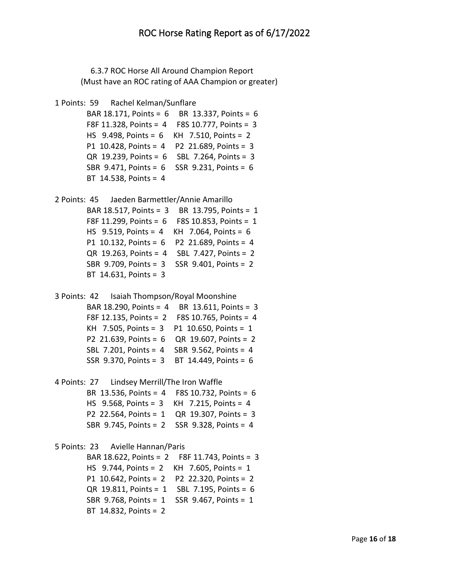6.3.7 ROC Horse All Around Champion Report (Must have an ROC rating of AAA Champion or greater)

```
1 Points: 59 Rachel Kelman/Sunflare
```

```
 BAR 18.171, Points = 6 BR 13.337, Points = 6
 F8F 11.328, Points = 4 F8S 10.777, Points = 3
 HS 9.498, Points = 6 KH 7.510, Points = 2
 P1 10.428, Points = 4 P2 21.689, Points = 3
 QR 19.239, Points = 6 SBL 7.264, Points = 3
 SBR 9.471, Points = 6 SSR 9.231, Points = 6
 BT 14.538, Points = 4
```

```
2 Points: 45 Jaeden Barmettler/Annie Amarillo 
         BAR 18.517, Points = 3 BR 13.795, Points = 1
         F8F 11.299, Points = 6 F8S 10.853, Points = 1
         HS 9.519, Points = 4 KH 7.064, Points = 6
         P1 10.132, Points = 6 P2 21.689, Points = 4
         QR 19.263, Points = 4 SBL 7.427, Points = 2
         SBR 9.709, Points = 3 SSR 9.401, Points = 2
         BT 14.631, Points = 3
```

```
3 Points: 42 Isaiah Thompson/Royal Moonshine 
         BAR 18.290, Points = 4 BR 13.611, Points = 3
         F8F 12.135, Points = 2 F8S 10.765, Points = 4
         KH 7.505, Points = 3 P1 10.650, Points = 1
         P2 21.639, Points = 6 QR 19.607, Points = 2
         SBL 7.201, Points = 4 SBR 9.562, Points = 4
         SSR 9.370, Points = 3 BT 14.449, Points = 6
```

```
4 Points: 27 Lindsey Merrill/The Iron Waffle 
         BR 13.536, Points = 4 F8S 10.732, Points = 6
         HS 9.568, Points = 3 KH 7.215, Points = 4
         P2 22.564, Points = 1 QR 19.307, Points = 3
         SBR 9.745, Points = 2 SSR 9.328, Points = 4
```
## 5 Points: 23 Avielle Hannan/Paris

```
 BAR 18.622, Points = 2 F8F 11.743, Points = 3
 HS 9.744, Points = 2 KH 7.605, Points = 1
 P1 10.642, Points = 2 P2 22.320, Points = 2
 QR 19.811, Points = 1 SBL 7.195, Points = 6
 SBR 9.768, Points = 1 SSR 9.467, Points = 1
 BT 14.832, Points = 2
```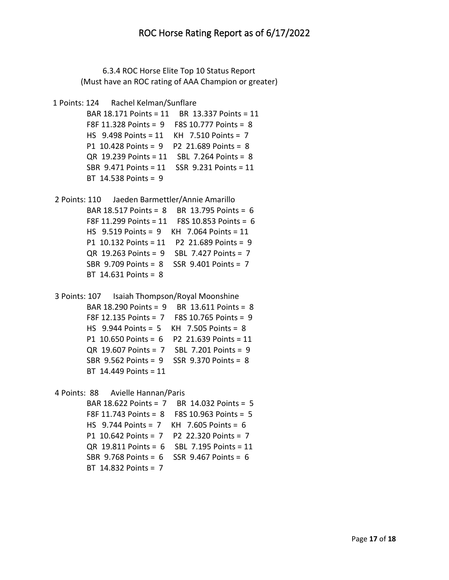6.3.4 ROC Horse Elite Top 10 Status Report (Must have an ROC rating of AAA Champion or greater)

```
1 Points: 124 Rachel Kelman/Sunflare
```

```
 BAR 18.171 Points = 11 BR 13.337 Points = 11
 F8F 11.328 Points = 9 F8S 10.777 Points = 8
 HS 9.498 Points = 11 KH 7.510 Points = 7
 P1 10.428 Points = 9 P2 21.689 Points = 8
 QR 19.239 Points = 11 SBL 7.264 Points = 8
 SBR 9.471 Points = 11 SSR 9.231 Points = 11
 BT 14.538 Points = 9
```

```
2 Points: 110 Jaeden Barmettler/Annie Amarillo 
         BAR 18.517 Points = 8 BR 13.795 Points = 6
         F8F 11.299 Points = 11 F8S 10.853 Points = 6
         HS 9.519 Points = 9 KH 7.064 Points = 11
         P1 10.132 Points = 11 P2 21.689 Points = 9
         QR 19.263 Points = 9 SBL 7.427 Points = 7
         SBR 9.709 Points = 8 SSR 9.401 Points = 7
         BT 14.631 Points = 8
```

```
3 Points: 107 Isaiah Thompson/Royal Moonshine 
         BAR 18.290 Points = 9 BR 13.611 Points = 8
         F8F 12.135 Points = 7 F8S 10.765 Points = 9
         HS 9.944 Points = 5 KH 7.505 Points = 8
         P1 10.650 Points = 6 P2 21.639 Points = 11
         QR 19.607 Points = 7 SBL 7.201 Points = 9
         SBR 9.562 Points = 9 SSR 9.370 Points = 8
         BT 14.449 Points = 11
```

```
4 Points: 88 Avielle Hannan/Paris
```

```
 BAR 18.622 Points = 7 BR 14.032 Points = 5
 F8F 11.743 Points = 8 F8S 10.963 Points = 5
 HS 9.744 Points = 7 KH 7.605 Points = 6
 P1 10.642 Points = 7 P2 22.320 Points = 7
 QR 19.811 Points = 6 SBL 7.195 Points = 11
 SBR 9.768 Points = 6 SSR 9.467 Points = 6
 BT 14.832 Points = 7
```